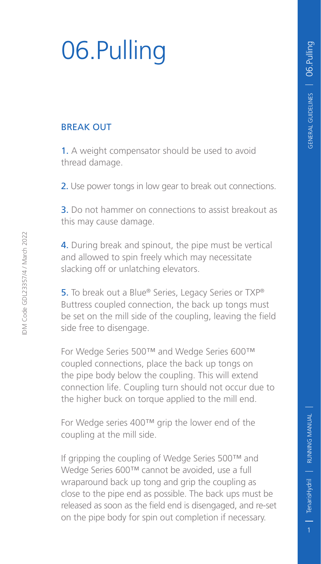# 06.Pulling

#### BREAK OUT

1. A weight compensator should be used to avoid thread damage.

2. Use power tongs in low gear to break out connections.

3. Do not hammer on connections to assist breakout as this may cause damage.

4. During break and spinout, the pipe must be vertical and allowed to spin freely which may necessitate slacking off or unlatching elevators.

5. To break out a Blue® Series, Legacy Series or TXP® Buttress coupled connection, the back up tongs must be set on the mill side of the coupling, leaving the field side free to disengage.

For Wedge Series 500™ and Wedge Series 600™ coupled connections, place the back up tongs on the pipe body below the coupling. This will extend connection life. Coupling turn should not occur due to the higher buck on torque applied to the mill end.

For Wedge series 400™ grip the lower end of the coupling at the mill side.

If gripping the coupling of Wedge Series 500™ and Wedge Series 600™ cannot be avoided, use a full wraparound back up tong and grip the coupling as close to the pipe end as possible. The back ups must be released as soon as the field end is disengaged, and re-set on the pipe body for spin out completion if necessary.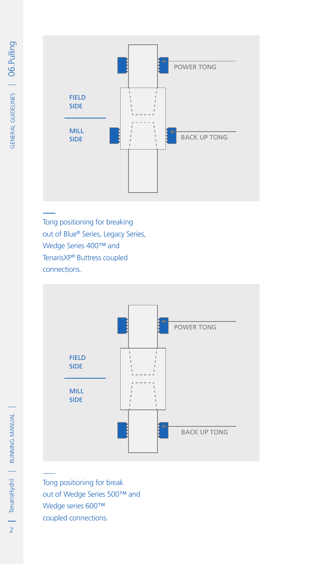

Tong positioning for breaking out of Blue® Series, Legacy Series, Wedge Series 400™ and TenarisXP® Buttress coupled connections.



Tong positioning for break out of Wedge Series 500™ and Wedge series 600™ coupled connections.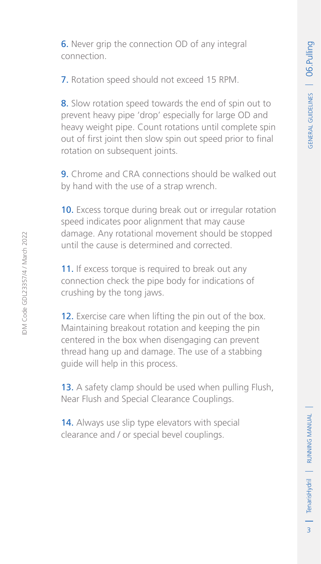6. Never grip the connection OD of any integral connection.

7. Rotation speed should not exceed 15 RPM.

8. Slow rotation speed towards the end of spin out to prevent heavy pipe 'drop' especially for large OD and heavy weight pipe. Count rotations until complete spin out of first joint then slow spin out speed prior to final rotation on subsequent joints.

9. Chrome and CRA connections should be walked out by hand with the use of a strap wrench.

10. Excess torque during break out or irregular rotation speed indicates poor alignment that may cause damage. Any rotational movement should be stopped until the cause is determined and corrected.

11. If excess torque is required to break out any connection check the pipe body for indications of crushing by the tong jaws.

12. Exercise care when lifting the pin out of the box. Maintaining breakout rotation and keeping the pin centered in the box when disengaging can prevent thread hang up and damage. The use of a stabbing guide will help in this process.

13. A safety clamp should be used when pulling Flush, Near Flush and Special Clearance Couplings.

14. Always use slip type elevators with special clearance and / or special bevel couplings.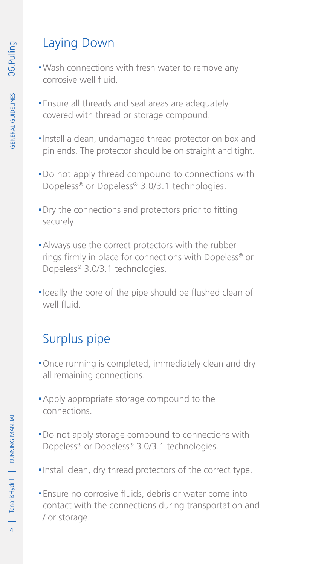# Laying Down

- .Wash connections with fresh water to remove any corrosive well fluid.
- **Ensure all threads and seal areas are adequately** covered with thread or storage compound.
- .Install a clean, undamaged thread protector on box and pin ends. The protector should be on straight and tight.
- .Do not apply thread compound to connections with Dopeless® or Dopeless® 3.0/3.1 technologies.
- .Dry the connections and protectors prior to fitting securely.
- .Always use the correct protectors with the rubber rings firmly in place for connections with Dopeless® or Dopeless® 3.0/3.1 technologies.
- .Ideally the bore of the pipe should be flushed clean of well fluid.

### Surplus pipe

- .Once running is completed, immediately clean and dry all remaining connections.
- **Apply appropriate storage compound to the** connections.
- .Do not apply storage compound to connections with Dopeless® or Dopeless® 3.0/3.1 technologies.
- .Install clean, dry thread protectors of the correct type.
- .Ensure no corrosive fluids, debris or water come into contact with the connections during transportation and / or storage.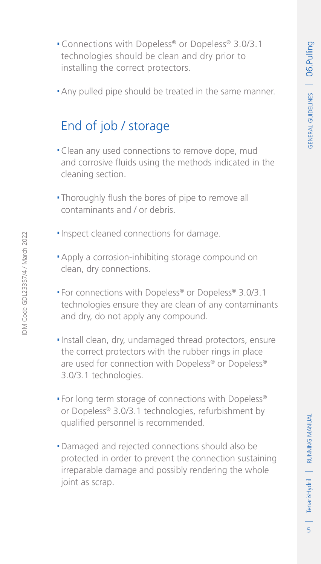- .Connections with Dopeless® or Dopeless® 3.0/3.1 technologies should be clean and dry prior to installing the correct protectors.
- .Any pulled pipe should be treated in the same manner.

## End of job / storage

- .Clean any used connections to remove dope, mud and corrosive fluids using the methods indicated in the cleaning section.
- .Thoroughly flush the bores of pipe to remove all contaminants and / or debris.
- **.** Inspect cleaned connections for damage.
- .Apply a corrosion-inhibiting storage compound on clean, dry connections.
- .For connections with Dopeless® or Dopeless® 3.0/3.1 technologies ensure they are clean of any contaminants and dry, do not apply any compound.
- .Install clean, dry, undamaged thread protectors, ensure the correct protectors with the rubber rings in place are used for connection with Dopeless® or Dopeless® 3.0/3.1 technologies.
- For long term storage of connections with Dopeless® or Dopeless® 3.0/3.1 technologies, refurbishment by qualified personnel is recommended.
- .Damaged and rejected connections should also be protected in order to prevent the connection sustaining irreparable damage and possibly rendering the whole joint as scrap.